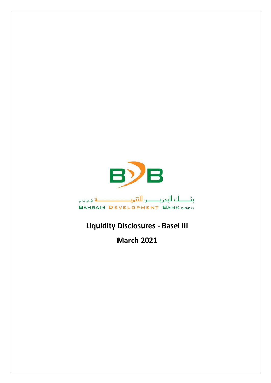

## **Liquidity Disclosures - Basel III**

**March 2021**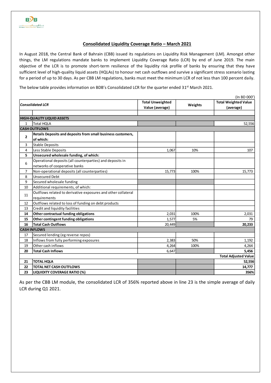## **Consolidated Liquidity Coverage Ratio – March 2021**

In August 2018, the Central Bank of Bahrain (CBB) issued its regulations on Liquidity Risk Management (LM). Amongst other things, the LM regulations mandate banks to implement Liquidity Coverage Ratio (LCR) by end of June 2019. The main objective of the LCR is to promote short-term resilience of the liquidity risk profile of banks by ensuring that they have sufficient level of high-quality liquid assets (HQLAs) to honour net cash outflows and survive a significant stress scenario lasting for a period of up to 30 days. As per CBB LM regulations, banks must meet the minimum LCR of not less than 100 percent daily.

The below table provides information on BDB's Consolidated LCR for the quarter ended 31<sup>st</sup> March 2021.

| (In BD 000')            |                                                               |                                                       |      |                                          |  |  |  |  |
|-------------------------|---------------------------------------------------------------|-------------------------------------------------------|------|------------------------------------------|--|--|--|--|
| <b>Consolidated LCR</b> |                                                               | <b>Total Unweighted</b><br>Weights<br>Value (average) |      | <b>Total Weighted Value</b><br>(average) |  |  |  |  |
|                         |                                                               |                                                       |      |                                          |  |  |  |  |
|                         | <b>HIGH-QUALITY LIQUID ASSETS</b>                             |                                                       |      |                                          |  |  |  |  |
| $\mathbf{1}$            | <b>Total HQLA</b>                                             |                                                       |      | 52,556                                   |  |  |  |  |
|                         | <b>CASH OUTFLOWS</b>                                          |                                                       |      |                                          |  |  |  |  |
| $\overline{2}$          | Retails Deposits and deposits from small business customers,  |                                                       |      |                                          |  |  |  |  |
|                         | of which:                                                     |                                                       |      |                                          |  |  |  |  |
| 3                       | Stable Deposits                                               |                                                       |      |                                          |  |  |  |  |
| 4                       | Less Stable Deposits                                          | 1,067                                                 | 10%  | 107                                      |  |  |  |  |
| 5                       | Unsecured wholesale funding, of which:                        |                                                       |      |                                          |  |  |  |  |
| 6                       | Operational deposits (all counterparties) and deposits in     |                                                       |      |                                          |  |  |  |  |
|                         | networks of cooperative banks                                 |                                                       |      |                                          |  |  |  |  |
| $\overline{7}$          | Non-operational deposits (all counterparties)                 | 15,773                                                | 100% | 15,773                                   |  |  |  |  |
| 8                       | <b>Unsecured Debt</b>                                         |                                                       |      |                                          |  |  |  |  |
| 9                       | Secured wholesale funding                                     |                                                       |      |                                          |  |  |  |  |
| 10                      | Additional requirements, of which:                            |                                                       |      |                                          |  |  |  |  |
| 11                      | Outflows related to derivative exposures and other collateral |                                                       |      |                                          |  |  |  |  |
|                         | requirements                                                  |                                                       |      |                                          |  |  |  |  |
| 12                      | Outflows related to loss of funding on debt products          |                                                       |      |                                          |  |  |  |  |
| 13                      | Credit and liquidity facilities                               |                                                       |      |                                          |  |  |  |  |
| 14                      | Other contractual funding obligations                         | 2,031                                                 | 100% | 2,031                                    |  |  |  |  |
| 15                      | Other contingent funding obligations                          | 1,577                                                 | 5%   | 79                                       |  |  |  |  |
| 16                      | <b>Total Cash Outflows</b>                                    | 20,449                                                |      | 20,233                                   |  |  |  |  |
|                         | <b>CASH INFLOWS</b>                                           |                                                       |      |                                          |  |  |  |  |
| 17                      | Secured lending (eg reverse repos)                            |                                                       |      |                                          |  |  |  |  |
| 18                      | Inflows from fully performing exposures                       | 2.383                                                 | 50%  | 1,192                                    |  |  |  |  |
| 19                      | Other cash inflows                                            | 4,264                                                 | 100% | 4,264                                    |  |  |  |  |
| 20                      | <b>Total Cash Inflows</b>                                     | 6,647                                                 |      | 5,456                                    |  |  |  |  |
|                         |                                                               |                                                       |      | <b>Total Adjusted Value</b>              |  |  |  |  |
| 21                      | <b>TOTAL HQLA</b>                                             |                                                       |      | 52,556                                   |  |  |  |  |
| 22                      | <b>TOTAL NET CASH OUTFLOWS</b>                                |                                                       |      | 14,777                                   |  |  |  |  |
| 23                      | <b>LIQUIDITY COVERAGE RATIO (%)</b>                           |                                                       |      | 356%                                     |  |  |  |  |

As per the CBB LM module, the consolidated LCR of 356% reported above in line 23 is the simple average of daily LCR during Q1 2021.